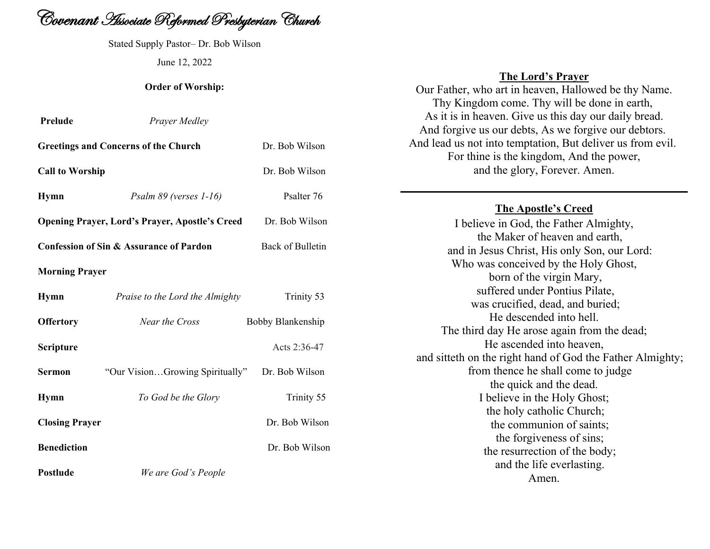

Stated Supply Pastor– Dr. Bob Wilson June 12, 2022

## **Order of Worship:**

| Prelude                                            | <b>Prayer Medley</b>                                  |                   |
|----------------------------------------------------|-------------------------------------------------------|-------------------|
|                                                    | <b>Greetings and Concerns of the Church</b>           | Dr. Bob Wilson    |
| <b>Call to Worship</b>                             |                                                       | Dr. Bob Wilson    |
| <b>Hymn</b>                                        | Psalm 89 (verses 1-16)                                | Psalter 76        |
|                                                    | <b>Opening Prayer, Lord's Prayer, Apostle's Creed</b> | Dr. Bob Wilson    |
| <b>Confession of Sin &amp; Assurance of Pardon</b> |                                                       | Back of Bulletin  |
| <b>Morning Prayer</b>                              |                                                       |                   |
| <b>Hymn</b>                                        | Praise to the Lord the Almighty                       | Trinity 53        |
| <b>Offertory</b>                                   | Near the Cross                                        | Bobby Blankenship |
| Scripture                                          |                                                       | Acts 2:36-47      |
| <b>Sermon</b>                                      | "Our VisionGrowing Spiritually"                       | Dr. Bob Wilson    |
| <b>Hymn</b>                                        | To God be the Glory                                   | Trinity 55        |
| <b>Closing Prayer</b>                              |                                                       | Dr. Bob Wilson    |
| <b>Benediction</b>                                 |                                                       | Dr. Bob Wilson    |
| <b>Postlude</b>                                    | We are God's People                                   |                   |

# **The Lord's Prayer**

Our Father, who art in heaven, Hallowed be thy Name. Thy Kingdom come. Thy will be done in earth, As it is in heaven. Give us this day our daily bread. And forgive us our debts, As we forgive our debtors. And lead us not into temptation, But deliver us from evil. For thine is the kingdom, And the power, and the glory, Forever. Amen.

# **The Apostle's Creed**

I believe in God, the Father Almighty, the Maker of heaven and earth, and in Jesus Christ, His only Son, our Lord: Who was conceived by the Holy Ghost, born of the virgin Mary, suffered under Pontius Pilate, was crucified, dead, and buried; He descended into hell. The third day He arose again from the dead; He ascended into heaven, and sitteth on the right hand of God the Father Almighty; from thence he shall come to judge the quick and the dead. I believe in the Holy Ghost; the holy catholic Church; the communion of saints; the forgiveness of sins; the resurrection of the body; and the life everlasting. Amen.